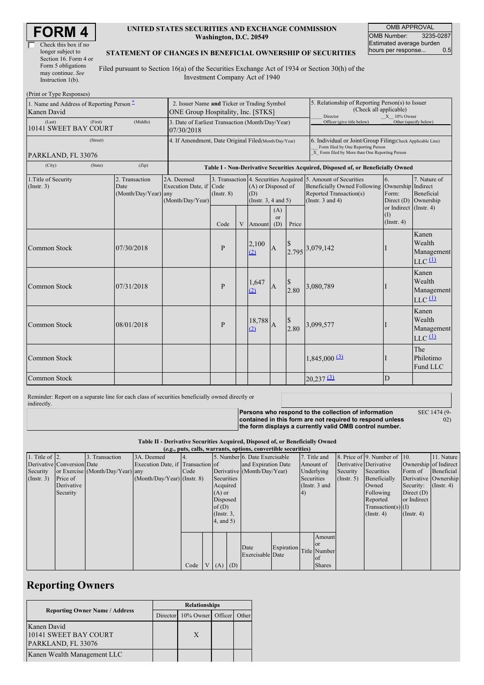| Check this box if no  |
|-----------------------|
| longer subject to     |
| Section 16. Form 4 or |
| Form 5 obligations    |
| may continue. See     |
| Instruction $1(b)$ .  |

#### **UNITED STATES SECURITIES AND EXCHANGE COMMISSION Washington, D.C. 20549**

OMB APPROVAL OMB Number: 3235-0287 Estimated average burden<br>hours per response... 0.5 hours per response...

#### **STATEMENT OF CHANGES IN BENEFICIAL OWNERSHIP OF SECURITIES**

Filed pursuant to Section 16(a) of the Securities Exchange Act of 1934 or Section 30(h) of the Investment Company Act of 1940

| (Print or Type Responses)                                |  |                                                                                  |                                                                                   |                 |                                                                                                                        |               |                  |                                                                                                                                                    |                                                                                                            |                                                   |                                                                    |
|----------------------------------------------------------|--|----------------------------------------------------------------------------------|-----------------------------------------------------------------------------------|-----------------|------------------------------------------------------------------------------------------------------------------------|---------------|------------------|----------------------------------------------------------------------------------------------------------------------------------------------------|------------------------------------------------------------------------------------------------------------|---------------------------------------------------|--------------------------------------------------------------------|
| 1. Name and Address of Reporting Person –<br>Kanen David |  |                                                                                  | 2. Issuer Name and Ticker or Trading Symbol<br>ONE Group Hospitality, Inc. [STKS] |                 |                                                                                                                        |               |                  |                                                                                                                                                    | 5. Relationship of Reporting Person(s) to Issuer<br>(Check all applicable)<br>Director<br>$X = 10\%$ Owner |                                                   |                                                                    |
| (First)<br>(Middle)<br>(Last)<br>10141 SWEET BAY COURT   |  |                                                                                  | 3. Date of Earliest Transaction (Month/Day/Year)<br>07/30/2018                    |                 |                                                                                                                        |               |                  | Officer (give title below)                                                                                                                         |                                                                                                            | Other (specify below)                             |                                                                    |
| (Street)<br>PARKLAND, FL 33076                           |  |                                                                                  | 4. If Amendment, Date Original Filed (Month/Day/Year)                             |                 |                                                                                                                        |               |                  | 6. Individual or Joint/Group Filing(Check Applicable Line)<br>Form filed by One Reporting Person<br>X Form filed by More than One Reporting Person |                                                                                                            |                                                   |                                                                    |
| (City)                                                   |  | Table I - Non-Derivative Securities Acquired, Disposed of, or Beneficially Owned |                                                                                   |                 |                                                                                                                        |               |                  |                                                                                                                                                    |                                                                                                            |                                                   |                                                                    |
| 1. Title of Security<br>(Insert. 3)                      |  | 2. Transaction<br>Date<br>(Month/Day/Year) any                                   | 2A. Deemed<br>Execution Date, if Code<br>(Month/Day/Year)                         | $($ Instr. $8)$ | 3. Transaction 4. Securities Acquired 5. Amount of Securities<br>(A) or Disposed of<br>(D)<br>(Instr. $3, 4$ and $5$ ) |               |                  | <b>Beneficially Owned Following</b><br>Reported Transaction(s)<br>(Instr. $3$ and $4$ )                                                            | 6.<br>Ownership Indirect<br>Form:<br>Direct (D)                                                            | 7. Nature of<br>Beneficial<br>Ownership           |                                                                    |
|                                                          |  |                                                                                  |                                                                                   | Code            | V                                                                                                                      | Amount        | (A)<br>or<br>(D) | Price                                                                                                                                              |                                                                                                            | or Indirect (Instr. 4)<br>(I)<br>$($ Instr. 4 $)$ |                                                                    |
| Common Stock                                             |  | 07/30/2018                                                                       |                                                                                   | P               |                                                                                                                        | 2,100<br>(2)  | $\mathbf{A}$     |                                                                                                                                                    | 2.795 3,079,142                                                                                            |                                                   | Kanen<br>Wealth<br>Management<br>$LLC$ <sup><math>(1)</math></sup> |
| <b>Common Stock</b>                                      |  | 07/31/2018                                                                       |                                                                                   | P               |                                                                                                                        | 1,647<br>(2)  | $\overline{A}$   | $\begin{array}{c} $ \$ \\ 2.80 \end{array}$                                                                                                        | 3,080,789                                                                                                  |                                                   | Kanen<br>Wealth<br>Management<br>$LLC$ <sup><math>(1)</math></sup> |
| <b>Common Stock</b>                                      |  | 08/01/2018                                                                       |                                                                                   | P               |                                                                                                                        | 18,788<br>(2) | $\overline{A}$   | 2.80                                                                                                                                               | 3,099,577                                                                                                  |                                                   | Kanen<br>Wealth<br>Management<br>$LLC$ $(1)$                       |
| <b>Common Stock</b>                                      |  |                                                                                  |                                                                                   |                 |                                                                                                                        |               |                  |                                                                                                                                                    | $1,845,000 \, (3)$                                                                                         |                                                   | The<br>Philotimo<br>Fund LLC                                       |
| Common Stock                                             |  |                                                                                  |                                                                                   |                 |                                                                                                                        |               |                  |                                                                                                                                                    | $20,237$ $\underline{31}$                                                                                  | D                                                 |                                                                    |

Reminder: Report on a separate line for each class of securities beneficially owned directly or indirectly.

**Persons who respond to the collection of information contained in this form are not required to respond unless the form displays a currently valid OMB control number.**

SEC 1474 (9-  $\ddot{02}$ 

**Table II - Derivative Securities Acquired, Disposed of, or Beneficially Owned**

| (e.g., puts, calls, warrants, options, convertible securities) |                            |                                  |                                   |      |  |                 |  |                               |            |    |                 |             |                              |                       |               |
|----------------------------------------------------------------|----------------------------|----------------------------------|-----------------------------------|------|--|-----------------|--|-------------------------------|------------|----|-----------------|-------------|------------------------------|-----------------------|---------------|
| 1. Title of $ 2$ .                                             |                            | 3. Transaction                   | 3A. Deemed                        |      |  |                 |  | 5. Number 6. Date Exercisable |            |    | 7. Title and    |             | 8. Price of 9. Number of 10. |                       | 11. Nature    |
|                                                                | Derivative Conversion Date |                                  | Execution Date, if Transaction of |      |  |                 |  | and Expiration Date           |            |    | Amount of       |             | Derivative Derivative        | Ownership of Indirect |               |
| Security                                                       |                            | or Exercise (Month/Day/Year) any |                                   | Code |  |                 |  | Derivative (Month/Day/Year)   |            |    | Underlying      | Security    | Securities                   | Form of               | Beneficial    |
| (Insert. 3)                                                    | Price of                   |                                  | $(Month/Day/Year)$ (Instr. 8)     |      |  | Securities      |  |                               |            |    | Securities      | (Insert. 5) | Beneficially                 | Derivative Ownership  |               |
|                                                                | Derivative                 |                                  |                                   |      |  | Acquired        |  |                               |            |    | (Instr. $3$ and |             | Owned                        | Security:             | $($ Instr. 4) |
|                                                                | Security                   |                                  |                                   |      |  | $(A)$ or        |  |                               |            | 4) |                 |             | Following                    | Direct $(D)$          |               |
|                                                                |                            |                                  |                                   |      |  | Disposed        |  |                               |            |    |                 |             | Reported                     | or Indirect           |               |
|                                                                |                            |                                  |                                   |      |  | of $(D)$        |  |                               |            |    |                 |             | $Transaction(s)$ (I)         |                       |               |
|                                                                |                            |                                  |                                   |      |  | $($ Instr. $3,$ |  |                               |            |    |                 |             | $($ Instr. 4 $)$             | $($ Instr. 4 $)$      |               |
|                                                                |                            |                                  |                                   |      |  | 4, and 5)       |  |                               |            |    |                 |             |                              |                       |               |
|                                                                |                            |                                  |                                   |      |  |                 |  |                               |            |    |                 |             |                              |                       |               |
|                                                                |                            |                                  |                                   |      |  |                 |  |                               |            |    | Amount          |             |                              |                       |               |
|                                                                |                            |                                  |                                   |      |  |                 |  | Date                          | Expiration |    | <b>or</b>       |             |                              |                       |               |
|                                                                |                            |                                  |                                   |      |  |                 |  | Exercisable Date              |            |    | Title Number    |             |                              |                       |               |
|                                                                |                            |                                  |                                   |      |  |                 |  |                               |            |    | <b>of</b>       |             |                              |                       |               |
|                                                                |                            |                                  |                                   | Code |  | $V(A)$ $(D)$    |  |                               |            |    | <b>Shares</b>   |             |                              |                       |               |

# **Reporting Owners**

|                                       | <b>Relationships</b> |                                  |  |  |  |  |
|---------------------------------------|----------------------|----------------------------------|--|--|--|--|
| <b>Reporting Owner Name / Address</b> |                      | Director 10% Owner Officer Other |  |  |  |  |
| Kanen David                           |                      |                                  |  |  |  |  |
| 10141 SWEET BAY COURT                 |                      | X                                |  |  |  |  |
| PARKLAND, FL 33076                    |                      |                                  |  |  |  |  |
| Kanen Wealth Management LLC           |                      |                                  |  |  |  |  |